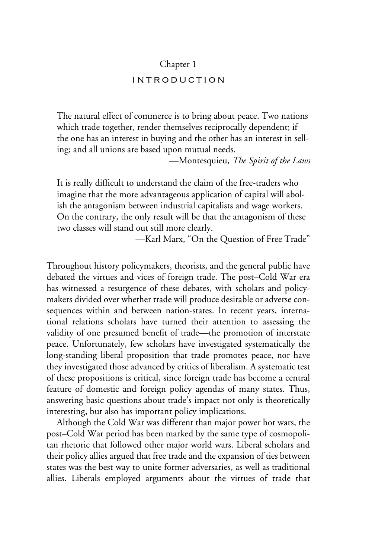#### Chapter 1

## introduction

The natural effect of commerce is to bring about peace. Two nations which trade together, render themselves reciprocally dependent; if the one has an interest in buying and the other has an interest in selling; and all unions are based upon mutual needs.

—Montesquieu, *The Spirit of the Laws*

It is really difficult to understand the claim of the free-traders who imagine that the more advantageous application of capital will abolish the antagonism between industrial capitalists and wage workers. On the contrary, the only result will be that the antagonism of these two classes will stand out still more clearly.

—Karl Marx, "On the Question of Free Trade"

Throughout history policymakers, theorists, and the general public have debated the virtues and vices of foreign trade. The post–Cold War era has witnessed a resurgence of these debates, with scholars and policymakers divided over whether trade will produce desirable or adverse consequences within and between nation-states. In recent years, international relations scholars have turned their attention to assessing the validity of one presumed benefit of trade—the promotion of interstate peace. Unfortunately, few scholars have investigated systematically the long-standing liberal proposition that trade promotes peace, nor have they investigated those advanced by critics of liberalism. A systematic test of these propositions is critical, since foreign trade has become a central feature of domestic and foreign policy agendas of many states. Thus, answering basic questions about trade's impact not only is theoretically interesting, but also has important policy implications.

Although the Cold War was different than major power hot wars, the post–Cold War period has been marked by the same type of cosmopolitan rhetoric that followed other major world wars. Liberal scholars and their policy allies argued that free trade and the expansion of ties between states was the best way to unite former adversaries, as well as traditional allies. Liberals employed arguments about the virtues of trade that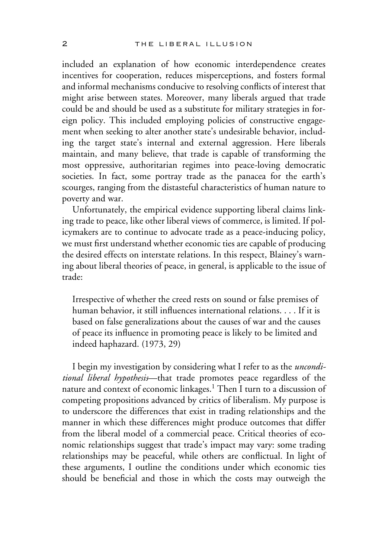included an explanation of how economic interdependence creates incentives for cooperation, reduces misperceptions, and fosters formal and informal mechanisms conducive to resolving conflicts of interest that might arise between states. Moreover, many liberals argued that trade could be and should be used as a substitute for military strategies in foreign policy. This included employing policies of constructive engagement when seeking to alter another state's undesirable behavior, including the target state's internal and external aggression. Here liberals maintain, and many believe, that trade is capable of transforming the most oppressive, authoritarian regimes into peace-loving democratic societies. In fact, some portray trade as the panacea for the earth's scourges, ranging from the distasteful characteristics of human nature to poverty and war.

Unfortunately, the empirical evidence supporting liberal claims linking trade to peace, like other liberal views of commerce, is limited. If policymakers are to continue to advocate trade as a peace-inducing policy, we must first understand whether economic ties are capable of producing the desired effects on interstate relations. In this respect, Blainey's warning about liberal theories of peace, in general, is applicable to the issue of trade:

Irrespective of whether the creed rests on sound or false premises of human behavior, it still influences international relations. . . . If it is based on false generalizations about the causes of war and the causes of peace its influence in promoting peace is likely to be limited and indeed haphazard. (1973, 29)

I begin my investigation by considering what I refer to as the *unconditional liberal hypothesis*—that trade promotes peace regardless of the nature and context of economic linkages.<sup>1</sup> Then I turn to a discussion of competing propositions advanced by critics of liberalism. My purpose is to underscore the differences that exist in trading relationships and the manner in which these differences might produce outcomes that differ from the liberal model of a commercial peace. Critical theories of economic relationships suggest that trade's impact may vary: some trading relationships may be peaceful, while others are conflictual. In light of these arguments, I outline the conditions under which economic ties should be beneficial and those in which the costs may outweigh the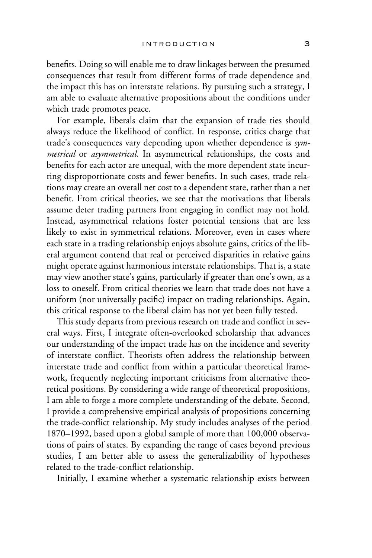benefits. Doing so will enable me to draw linkages between the presumed consequences that result from different forms of trade dependence and the impact this has on interstate relations. By pursuing such a strategy, I am able to evaluate alternative propositions about the conditions under which trade promotes peace.

For example, liberals claim that the expansion of trade ties should always reduce the likelihood of conflict. In response, critics charge that trade's consequences vary depending upon whether dependence is *symmetrical* or *asymmetrical.* In asymmetrical relationships, the costs and benefits for each actor are unequal, with the more dependent state incurring disproportionate costs and fewer benefits. In such cases, trade relations may create an overall net cost to a dependent state, rather than a net benefit. From critical theories, we see that the motivations that liberals assume deter trading partners from engaging in conflict may not hold. Instead, asymmetrical relations foster potential tensions that are less likely to exist in symmetrical relations. Moreover, even in cases where each state in a trading relationship enjoys absolute gains, critics of the liberal argument contend that real or perceived disparities in relative gains might operate against harmonious interstate relationships. That is, a state may view another state's gains, particularly if greater than one's own, as a loss to oneself. From critical theories we learn that trade does not have a uniform (nor universally pacific) impact on trading relationships. Again, this critical response to the liberal claim has not yet been fully tested.

This study departs from previous research on trade and conflict in several ways. First, I integrate often-overlooked scholarship that advances our understanding of the impact trade has on the incidence and severity of interstate conflict. Theorists often address the relationship between interstate trade and conflict from within a particular theoretical framework, frequently neglecting important criticisms from alternative theoretical positions. By considering a wide range of theoretical propositions, I am able to forge a more complete understanding of the debate. Second, I provide a comprehensive empirical analysis of propositions concerning the trade-conflict relationship. My study includes analyses of the period 1870–1992, based upon a global sample of more than 100,000 observations of pairs of states. By expanding the range of cases beyond previous studies, I am better able to assess the generalizability of hypotheses related to the trade-conflict relationship.

Initially, I examine whether a systematic relationship exists between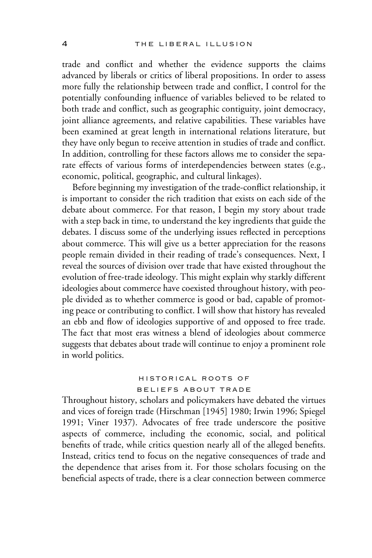trade and conflict and whether the evidence supports the claims advanced by liberals or critics of liberal propositions. In order to assess more fully the relationship between trade and conflict, I control for the potentially confounding influence of variables believed to be related to both trade and conflict, such as geographic contiguity, joint democracy, joint alliance agreements, and relative capabilities. These variables have been examined at great length in international relations literature, but they have only begun to receive attention in studies of trade and conflict. In addition, controlling for these factors allows me to consider the separate effects of various forms of interdependencies between states (e.g., economic, political, geographic, and cultural linkages).

Before beginning my investigation of the trade-conflict relationship, it is important to consider the rich tradition that exists on each side of the debate about commerce. For that reason, I begin my story about trade with a step back in time, to understand the key ingredients that guide the debates. I discuss some of the underlying issues reflected in perceptions about commerce. This will give us a better appreciation for the reasons people remain divided in their reading of trade's consequences. Next, I reveal the sources of division over trade that have existed throughout the evolution of free-trade ideology. This might explain why starkly different ideologies about commerce have coexisted throughout history, with people divided as to whether commerce is good or bad, capable of promoting peace or contributing to conflict. I will show that history has revealed an ebb and flow of ideologies supportive of and opposed to free trade. The fact that most eras witness a blend of ideologies about commerce suggests that debates about trade will continue to enjoy a prominent role in world politics.

# historical roots of beliefs about trade

Throughout history, scholars and policymakers have debated the virtues and vices of foreign trade (Hirschman [1945] 1980; Irwin 1996; Spiegel 1991; Viner 1937). Advocates of free trade underscore the positive aspects of commerce, including the economic, social, and political benefits of trade, while critics question nearly all of the alleged benefits. Instead, critics tend to focus on the negative consequences of trade and the dependence that arises from it. For those scholars focusing on the beneficial aspects of trade, there is a clear connection between commerce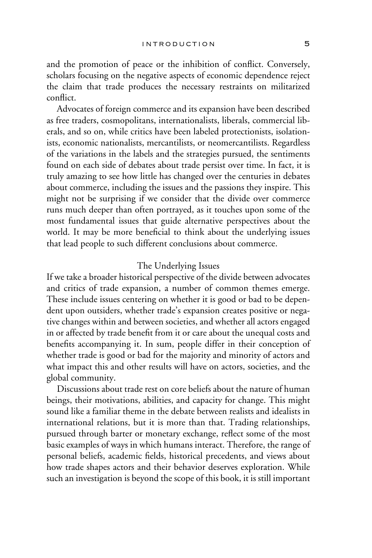and the promotion of peace or the inhibition of conflict. Conversely, scholars focusing on the negative aspects of economic dependence reject the claim that trade produces the necessary restraints on militarized conflict.

Advocates of foreign commerce and its expansion have been described as free traders, cosmopolitans, internationalists, liberals, commercial liberals, and so on, while critics have been labeled protectionists, isolationists, economic nationalists, mercantilists, or neomercantilists. Regardless of the variations in the labels and the strategies pursued, the sentiments found on each side of debates about trade persist over time. In fact, it is truly amazing to see how little has changed over the centuries in debates about commerce, including the issues and the passions they inspire. This might not be surprising if we consider that the divide over commerce runs much deeper than often portrayed, as it touches upon some of the most fundamental issues that guide alternative perspectives about the world. It may be more beneficial to think about the underlying issues that lead people to such different conclusions about commerce.

#### The Underlying Issues

If we take a broader historical perspective of the divide between advocates and critics of trade expansion, a number of common themes emerge. These include issues centering on whether it is good or bad to be dependent upon outsiders, whether trade's expansion creates positive or negative changes within and between societies, and whether all actors engaged in or affected by trade benefit from it or care about the unequal costs and benefits accompanying it. In sum, people differ in their conception of whether trade is good or bad for the majority and minority of actors and what impact this and other results will have on actors, societies, and the global community.

Discussions about trade rest on core beliefs about the nature of human beings, their motivations, abilities, and capacity for change. This might sound like a familiar theme in the debate between realists and idealists in international relations, but it is more than that. Trading relationships, pursued through barter or monetary exchange, reflect some of the most basic examples of ways in which humans interact. Therefore, the range of personal beliefs, academic fields, historical precedents, and views about how trade shapes actors and their behavior deserves exploration. While such an investigation is beyond the scope of this book, it is still important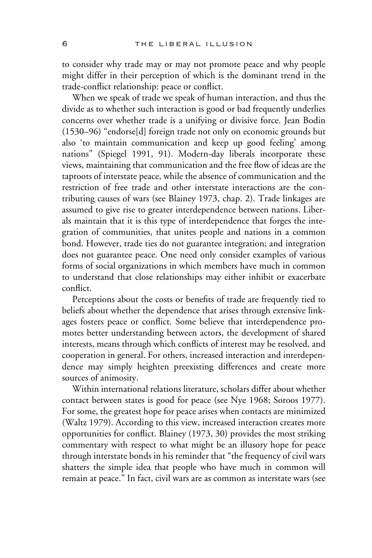to consider why trade may or may not promote peace and why people might differ in their perception of which is the dominant trend in the trade-conflict relationship: peace or conflict.

When we speak of trade we speak of human interaction, and thus the divide as to whether such interaction is good or bad frequently underlies concerns over whether trade is a unifying or divisive force. Jean Bodin (1530–96) "endorse[d] foreign trade not only on economic grounds but also 'to maintain communication and keep up good feeling' among nations" (Spiegel 1991, 91). Modern-day liberals incorporate these views, maintaining that communication and the free flow of ideas are the taproots of interstate peace, while the absence of communication and the restriction of free trade and other interstate interactions are the contributing causes of wars (see Blainey 1973, chap. 2). Trade linkages are assumed to give rise to greater interdependence between nations. Liberals maintain that it is this type of interdependence that forges the integration of communities, that unites people and nations in a common bond. However, trade ties do not guarantee integration; and integration does not guarantee peace. One need only consider examples of various forms of social organizations in which members have much in common to understand that close relationships may either inhibit or exacerbate conflict.

Perceptions about the costs or benefits of trade are frequently tied to beliefs about whether the dependence that arises through extensive linkages fosters peace or conflict. Some believe that interdependence promotes better understanding between actors, the development of shared interests, means through which conflicts of interest may be resolved, and cooperation in general. For others, increased interaction and interdependence may simply heighten preexisting differences and create more sources of animosity.

Within international relations literature, scholars differ about whether contact between states is good for peace (see Nye 1968; Soroos 1977). For some, the greatest hope for peace arises when contacts are minimized (Waltz 1979). According to this view, increased interaction creates more opportunities for conflict. Blainey (1973, 30) provides the most striking commentary with respect to what might be an illusory hope for peace through interstate bonds in his reminder that "the frequency of civil wars shatters the simple idea that people who have much in common will remain at peace." In fact, civil wars are as common as interstate wars (see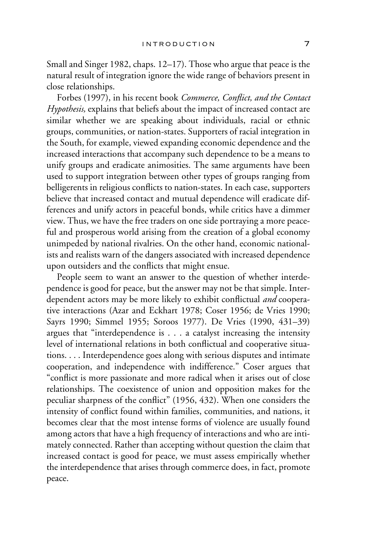Small and Singer 1982, chaps. 12–17). Those who argue that peace is the natural result of integration ignore the wide range of behaviors present in close relationships.

Forbes (1997), in his recent book *Commerce, Conflict, and the Contact Hypothesis,* explains that beliefs about the impact of increased contact are similar whether we are speaking about individuals, racial or ethnic groups, communities, or nation-states. Supporters of racial integration in the South, for example, viewed expanding economic dependence and the increased interactions that accompany such dependence to be a means to unify groups and eradicate animosities. The same arguments have been used to support integration between other types of groups ranging from belligerents in religious conflicts to nation-states. In each case, supporters believe that increased contact and mutual dependence will eradicate differences and unify actors in peaceful bonds, while critics have a dimmer view. Thus, we have the free traders on one side portraying a more peaceful and prosperous world arising from the creation of a global economy unimpeded by national rivalries. On the other hand, economic nationalists and realists warn of the dangers associated with increased dependence upon outsiders and the conflicts that might ensue.

People seem to want an answer to the question of whether interdependence is good for peace, but the answer may not be that simple. Interdependent actors may be more likely to exhibit conflictual *and* cooperative interactions (Azar and Eckhart 1978; Coser 1956; de Vries 1990; Sayrs 1990; Simmel 1955; Soroos 1977). De Vries (1990, 431–39) argues that "interdependence is . . . a catalyst increasing the intensity level of international relations in both conflictual and cooperative situations. . . . Interdependence goes along with serious disputes and intimate cooperation, and independence with indifference." Coser argues that "conflict is more passionate and more radical when it arises out of close relationships. The coexistence of union and opposition makes for the peculiar sharpness of the conflict" (1956, 432). When one considers the intensity of conflict found within families, communities, and nations, it becomes clear that the most intense forms of violence are usually found among actors that have a high frequency of interactions and who are intimately connected. Rather than accepting without question the claim that increased contact is good for peace, we must assess empirically whether the interdependence that arises through commerce does, in fact, promote peace.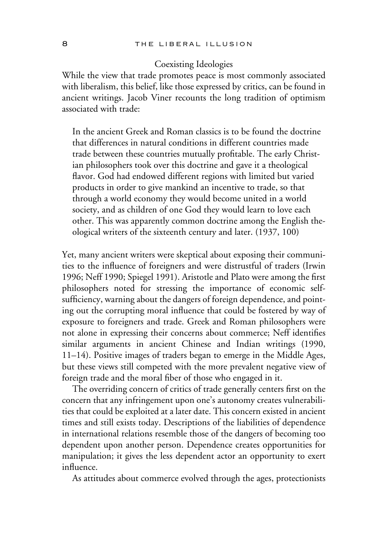#### Coexisting Ideologies

While the view that trade promotes peace is most commonly associated with liberalism, this belief, like those expressed by critics, can be found in ancient writings. Jacob Viner recounts the long tradition of optimism associated with trade:

In the ancient Greek and Roman classics is to be found the doctrine that differences in natural conditions in different countries made trade between these countries mutually profitable. The early Christian philosophers took over this doctrine and gave it a theological flavor. God had endowed different regions with limited but varied products in order to give mankind an incentive to trade, so that through a world economy they would become united in a world society, and as children of one God they would learn to love each other. This was apparently common doctrine among the English theological writers of the sixteenth century and later. (1937, 100)

Yet, many ancient writers were skeptical about exposing their communities to the influence of foreigners and were distrustful of traders (Irwin 1996; Neff 1990; Spiegel 1991). Aristotle and Plato were among the first philosophers noted for stressing the importance of economic selfsufficiency, warning about the dangers of foreign dependence, and pointing out the corrupting moral influence that could be fostered by way of exposure to foreigners and trade. Greek and Roman philosophers were not alone in expressing their concerns about commerce; Neff identifies similar arguments in ancient Chinese and Indian writings (1990, 11–14). Positive images of traders began to emerge in the Middle Ages, but these views still competed with the more prevalent negative view of foreign trade and the moral fiber of those who engaged in it.

The overriding concern of critics of trade generally centers first on the concern that any infringement upon one's autonomy creates vulnerabilities that could be exploited at a later date. This concern existed in ancient times and still exists today. Descriptions of the liabilities of dependence in international relations resemble those of the dangers of becoming too dependent upon another person. Dependence creates opportunities for manipulation; it gives the less dependent actor an opportunity to exert influence.

As attitudes about commerce evolved through the ages, protectionists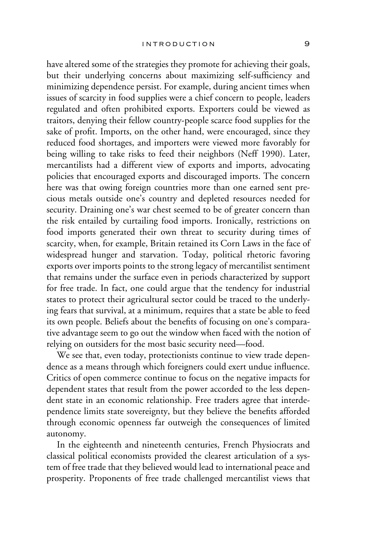have altered some of the strategies they promote for achieving their goals, but their underlying concerns about maximizing self-sufficiency and minimizing dependence persist. For example, during ancient times when issues of scarcity in food supplies were a chief concern to people, leaders regulated and often prohibited exports. Exporters could be viewed as traitors, denying their fellow country-people scarce food supplies for the sake of profit. Imports, on the other hand, were encouraged, since they reduced food shortages, and importers were viewed more favorably for being willing to take risks to feed their neighbors (Neff 1990). Later, mercantilists had a different view of exports and imports, advocating policies that encouraged exports and discouraged imports. The concern here was that owing foreign countries more than one earned sent precious metals outside one's country and depleted resources needed for security. Draining one's war chest seemed to be of greater concern than the risk entailed by curtailing food imports. Ironically, restrictions on food imports generated their own threat to security during times of scarcity, when, for example, Britain retained its Corn Laws in the face of widespread hunger and starvation. Today, political rhetoric favoring exports over imports points to the strong legacy of mercantilist sentiment that remains under the surface even in periods characterized by support for free trade. In fact, one could argue that the tendency for industrial states to protect their agricultural sector could be traced to the underlying fears that survival, at a minimum, requires that a state be able to feed its own people. Beliefs about the benefits of focusing on one's comparative advantage seem to go out the window when faced with the notion of relying on outsiders for the most basic security need—food.

We see that, even today, protectionists continue to view trade dependence as a means through which foreigners could exert undue influence. Critics of open commerce continue to focus on the negative impacts for dependent states that result from the power accorded to the less dependent state in an economic relationship. Free traders agree that interdependence limits state sovereignty, but they believe the benefits afforded through economic openness far outweigh the consequences of limited autonomy.

In the eighteenth and nineteenth centuries, French Physiocrats and classical political economists provided the clearest articulation of a system of free trade that they believed would lead to international peace and prosperity. Proponents of free trade challenged mercantilist views that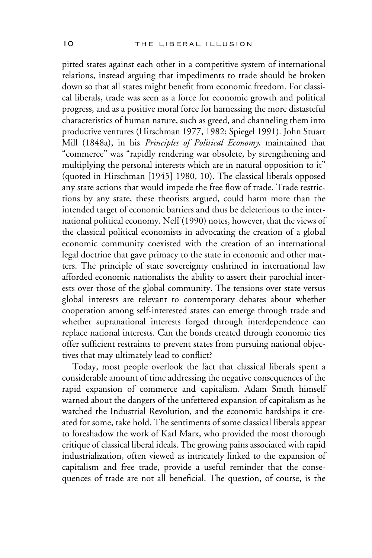pitted states against each other in a competitive system of international relations, instead arguing that impediments to trade should be broken down so that all states might benefit from economic freedom. For classical liberals, trade was seen as a force for economic growth and political progress, and as a positive moral force for harnessing the more distasteful characteristics of human nature, such as greed, and channeling them into productive ventures (Hirschman 1977, 1982; Spiegel 1991). John Stuart Mill (1848a), in his *Principles of Political Economy,* maintained that "commerce" was "rapidly rendering war obsolete, by strengthening and multiplying the personal interests which are in natural opposition to it" (quoted in Hirschman [1945] 1980, 10). The classical liberals opposed any state actions that would impede the free flow of trade. Trade restrictions by any state, these theorists argued, could harm more than the intended target of economic barriers and thus be deleterious to the international political economy. Neff (1990) notes, however, that the views of the classical political economists in advocating the creation of a global economic community coexisted with the creation of an international legal doctrine that gave primacy to the state in economic and other matters. The principle of state sovereignty enshrined in international law afforded economic nationalists the ability to assert their parochial interests over those of the global community. The tensions over state versus global interests are relevant to contemporary debates about whether cooperation among self-interested states can emerge through trade and whether supranational interests forged through interdependence can replace national interests. Can the bonds created through economic ties offer sufficient restraints to prevent states from pursuing national objectives that may ultimately lead to conflict?

Today, most people overlook the fact that classical liberals spent a considerable amount of time addressing the negative consequences of the rapid expansion of commerce and capitalism. Adam Smith himself warned about the dangers of the unfettered expansion of capitalism as he watched the Industrial Revolution, and the economic hardships it created for some, take hold. The sentiments of some classical liberals appear to foreshadow the work of Karl Marx, who provided the most thorough critique of classical liberal ideals. The growing pains associated with rapid industrialization, often viewed as intricately linked to the expansion of capitalism and free trade, provide a useful reminder that the consequences of trade are not all beneficial. The question, of course, is the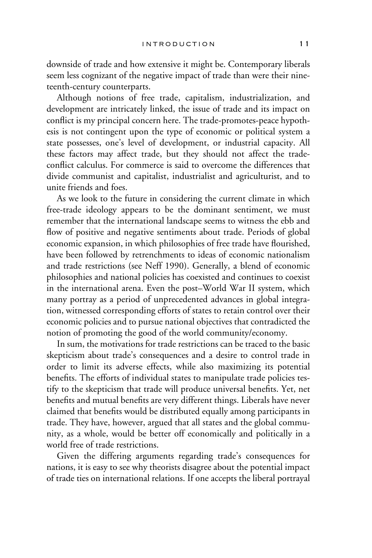downside of trade and how extensive it might be. Contemporary liberals seem less cognizant of the negative impact of trade than were their nineteenth-century counterparts.

Although notions of free trade, capitalism, industrialization, and development are intricately linked, the issue of trade and its impact on conflict is my principal concern here. The trade-promotes-peace hypothesis is not contingent upon the type of economic or political system a state possesses, one's level of development, or industrial capacity. All these factors may affect trade, but they should not affect the tradeconflict calculus. For commerce is said to overcome the differences that divide communist and capitalist, industrialist and agriculturist, and to unite friends and foes.

As we look to the future in considering the current climate in which free-trade ideology appears to be the dominant sentiment, we must remember that the international landscape seems to witness the ebb and flow of positive and negative sentiments about trade. Periods of global economic expansion, in which philosophies of free trade have flourished, have been followed by retrenchments to ideas of economic nationalism and trade restrictions (see Neff 1990). Generally, a blend of economic philosophies and national policies has coexisted and continues to coexist in the international arena. Even the post–World War II system, which many portray as a period of unprecedented advances in global integration, witnessed corresponding efforts of states to retain control over their economic policies and to pursue national objectives that contradicted the notion of promoting the good of the world community/economy.

In sum, the motivations for trade restrictions can be traced to the basic skepticism about trade's consequences and a desire to control trade in order to limit its adverse effects, while also maximizing its potential benefits. The efforts of individual states to manipulate trade policies testify to the skepticism that trade will produce universal benefits. Yet, net benefits and mutual benefits are very different things. Liberals have never claimed that benefits would be distributed equally among participants in trade. They have, however, argued that all states and the global community, as a whole, would be better off economically and politically in a world free of trade restrictions.

Given the differing arguments regarding trade's consequences for nations, it is easy to see why theorists disagree about the potential impact of trade ties on international relations. If one accepts the liberal portrayal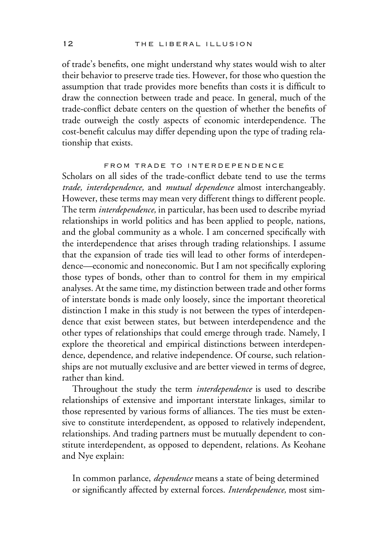of trade's benefits, one might understand why states would wish to alter their behavior to preserve trade ties. However, for those who question the assumption that trade provides more benefits than costs it is difficult to draw the connection between trade and peace. In general, much of the trade-conflict debate centers on the question of whether the benefits of trade outweigh the costly aspects of economic interdependence. The cost-benefit calculus may differ depending upon the type of trading relationship that exists.

### from trade to interdependence

Scholars on all sides of the trade-conflict debate tend to use the terms *trade, interdependence,* and *mutual dependence* almost interchangeably. However, these terms may mean very different things to different people. The term *interdependence,* in particular, has been used to describe myriad relationships in world politics and has been applied to people, nations, and the global community as a whole. I am concerned specifically with the interdependence that arises through trading relationships. I assume that the expansion of trade ties will lead to other forms of interdependence—economic and noneconomic. But I am not specifically exploring those types of bonds, other than to control for them in my empirical analyses. At the same time, my distinction between trade and other forms of interstate bonds is made only loosely, since the important theoretical distinction I make in this study is not between the types of interdependence that exist between states, but between interdependence and the other types of relationships that could emerge through trade. Namely, I explore the theoretical and empirical distinctions between interdependence, dependence, and relative independence. Of course, such relationships are not mutually exclusive and are better viewed in terms of degree, rather than kind.

Throughout the study the term *interdependence* is used to describe relationships of extensive and important interstate linkages, similar to those represented by various forms of alliances. The ties must be extensive to constitute interdependent, as opposed to relatively independent, relationships. And trading partners must be mutually dependent to constitute interdependent, as opposed to dependent, relations. As Keohane and Nye explain:

In common parlance, *dependence* means a state of being determined or significantly affected by external forces. *Interdependence*, most sim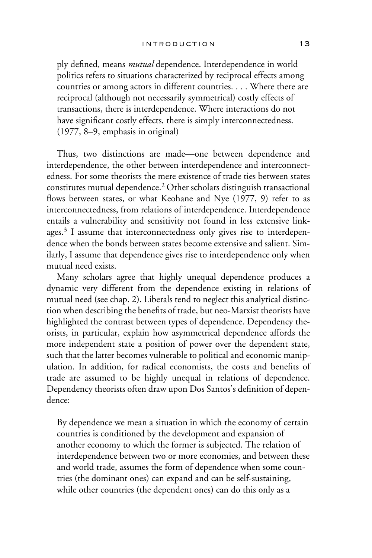ply defined, means *mutual* dependence. Interdependence in world politics refers to situations characterized by reciprocal effects among countries or among actors in different countries. . . . Where there are reciprocal (although not necessarily symmetrical) costly effects of transactions, there is interdependence. Where interactions do not have significant costly effects, there is simply interconnectedness. (1977, 8–9, emphasis in original)

Thus, two distinctions are made—one between dependence and interdependence, the other between interdependence and interconnectedness. For some theorists the mere existence of trade ties between states constitutes mutual dependence.<sup>2</sup> Other scholars distinguish transactional flows between states, or what Keohane and Nye (1977, 9) refer to as interconnectedness, from relations of interdependence. Interdependence entails a vulnerability and sensitivity not found in less extensive linkages.<sup>3</sup> I assume that interconnectedness only gives rise to interdependence when the bonds between states become extensive and salient. Similarly, I assume that dependence gives rise to interdependence only when mutual need exists.

Many scholars agree that highly unequal dependence produces a dynamic very different from the dependence existing in relations of mutual need (see chap. 2). Liberals tend to neglect this analytical distinction when describing the benefits of trade, but neo-Marxist theorists have highlighted the contrast between types of dependence. Dependency theorists, in particular, explain how asymmetrical dependence affords the more independent state a position of power over the dependent state, such that the latter becomes vulnerable to political and economic manipulation. In addition, for radical economists, the costs and benefits of trade are assumed to be highly unequal in relations of dependence. Dependency theorists often draw upon Dos Santos's definition of dependence:

By dependence we mean a situation in which the economy of certain countries is conditioned by the development and expansion of another economy to which the former is subjected. The relation of interdependence between two or more economies, and between these and world trade, assumes the form of dependence when some countries (the dominant ones) can expand and can be self-sustaining, while other countries (the dependent ones) can do this only as a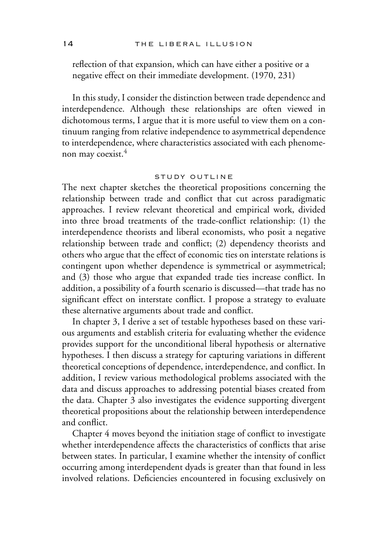reflection of that expansion, which can have either a positive or a negative effect on their immediate development. (1970, 231)

In this study, I consider the distinction between trade dependence and interdependence. Although these relationships are often viewed in dichotomous terms, I argue that it is more useful to view them on a continuum ranging from relative independence to asymmetrical dependence to interdependence, where characteristics associated with each phenomenon may coexist.<sup>4</sup>

### study outline

The next chapter sketches the theoretical propositions concerning the relationship between trade and conflict that cut across paradigmatic approaches. I review relevant theoretical and empirical work, divided into three broad treatments of the trade-conflict relationship: (1) the interdependence theorists and liberal economists, who posit a negative relationship between trade and conflict; (2) dependency theorists and others who argue that the effect of economic ties on interstate relations is contingent upon whether dependence is symmetrical or asymmetrical; and (3) those who argue that expanded trade ties increase conflict. In addition, a possibility of a fourth scenario is discussed—that trade has no significant effect on interstate conflict. I propose a strategy to evaluate these alternative arguments about trade and conflict.

In chapter 3, I derive a set of testable hypotheses based on these various arguments and establish criteria for evaluating whether the evidence provides support for the unconditional liberal hypothesis or alternative hypotheses. I then discuss a strategy for capturing variations in different theoretical conceptions of dependence, interdependence, and conflict. In addition, I review various methodological problems associated with the data and discuss approaches to addressing potential biases created from the data. Chapter 3 also investigates the evidence supporting divergent theoretical propositions about the relationship between interdependence and conflict.

Chapter 4 moves beyond the initiation stage of conflict to investigate whether interdependence affects the characteristics of conflicts that arise between states. In particular, I examine whether the intensity of conflict occurring among interdependent dyads is greater than that found in less involved relations. Deficiencies encountered in focusing exclusively on